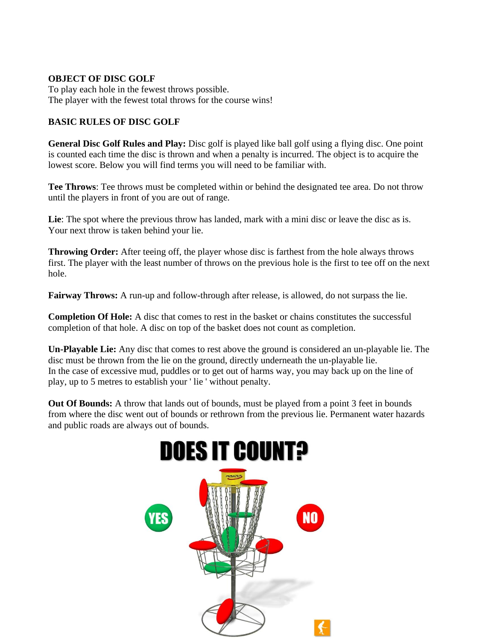## **OBJECT OF DISC GOLF**

To play each hole in the fewest throws possible. The player with the fewest total throws for the course wins!

## **BASIC RULES OF DISC GOLF**

**General Disc Golf Rules and Play:** Disc golf is played like ball golf using a flying disc. One point is counted each time the disc is thrown and when a penalty is incurred. The object is to acquire the lowest score. Below you will find terms you will need to be familiar with.

**Tee Throws**: Tee throws must be completed within or behind the designated tee area. Do not throw until the players in front of you are out of range.

Lie: The spot where the previous throw has landed, mark with a mini disc or leave the disc as is. Your next throw is taken behind your lie.

**Throwing Order:** After teeing off, the player whose disc is farthest from the hole always throws first. The player with the least number of throws on the previous hole is the first to tee off on the next hole.

**Fairway Throws:** A run-up and follow-through after release, is allowed, do not surpass the lie.

**Completion Of Hole:** A disc that comes to rest in the basket or chains constitutes the successful completion of that hole. A disc on top of the basket does not count as completion.

**Un-Playable Lie:** Any disc that comes to rest above the ground is considered an un-playable lie. The disc must be thrown from the lie on the ground, directly underneath the un-playable lie. In the case of excessive mud, puddles or to get out of harms way, you may back up on the line of play, up to 5 metres to establish your ' lie ' without penalty.

**Out Of Bounds:** A throw that lands out of bounds, must be played from a point 3 feet in bounds from where the disc went out of bounds or rethrown from the previous lie. Permanent water hazards and public roads are always out of bounds.